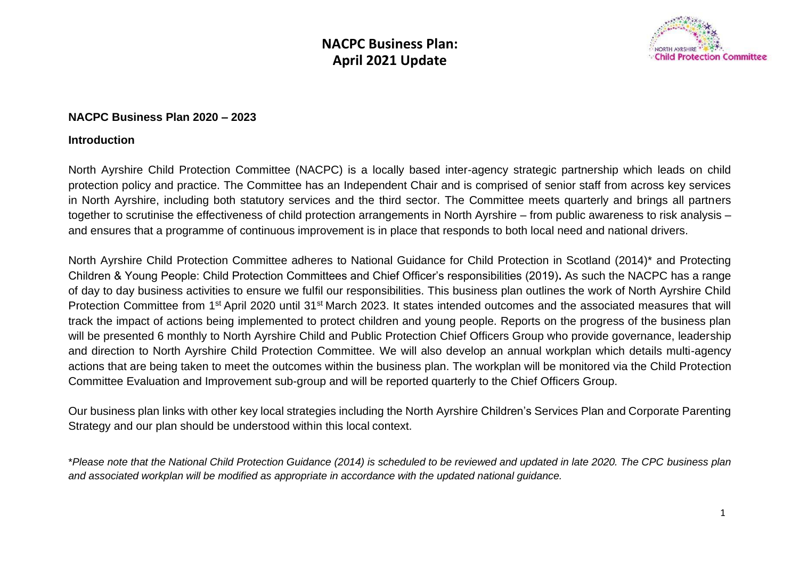

#### **NACPC Business Plan 2020 – 2023**

#### **Introduction**

North Ayrshire Child Protection Committee (NACPC) is a locally based inter-agency strategic partnership which leads on child protection policy and practice. The Committee has an Independent Chair and is comprised of senior staff from across key services in North Ayrshire, including both statutory services and the third sector. The Committee meets quarterly and brings all partners together to scrutinise the effectiveness of child protection arrangements in North Ayrshire – from public awareness to risk analysis – and ensures that a programme of continuous improvement is in place that responds to both local need and national drivers.

North Ayrshire Child Protection Committee adheres to National Guidance for Child Protection in Scotland (2014)\* and Protecting Children & Young People: Child Protection Committees and Chief Officer's responsibilities (2019)**.** As such the NACPC has a range of day to day business activities to ensure we fulfil our responsibilities. This business plan outlines the work of North Ayrshire Child Protection Committee from 1<sup>st</sup> April 2020 until 31<sup>st</sup> March 2023. It states intended outcomes and the associated measures that will track the impact of actions being implemented to protect children and young people. Reports on the progress of the business plan will be presented 6 monthly to North Ayrshire Child and Public Protection Chief Officers Group who provide governance, leadership and direction to North Ayrshire Child Protection Committee. We will also develop an annual workplan which details multi-agency actions that are being taken to meet the outcomes within the business plan. The workplan will be monitored via the Child Protection Committee Evaluation and Improvement sub-group and will be reported quarterly to the Chief Officers Group.

Our business plan links with other key local strategies including the North Ayrshire Children's Services Plan and Corporate Parenting Strategy and our plan should be understood within this local context.

\**Please note that the National Child Protection Guidance (2014) is scheduled to be reviewed and updated in late 2020. The CPC business plan and associated workplan will be modified as appropriate in accordance with the updated national guidance.*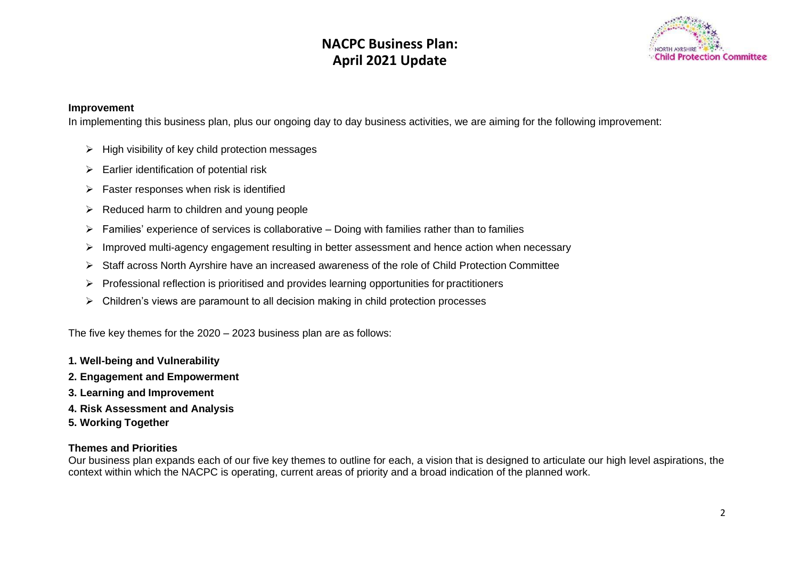

#### **Improvement**

In implementing this business plan, plus our ongoing day to day business activities, we are aiming for the following improvement:

- $\triangleright$  High visibility of key child protection messages
- $\triangleright$  Earlier identification of potential risk
- $\triangleright$  Faster responses when risk is identified
- ➢ Reduced harm to children and young people
- $\triangleright$  Families' experience of services is collaborative Doing with families rather than to families
- ➢ Improved multi-agency engagement resulting in better assessment and hence action when necessary
- ➢ Staff across North Ayrshire have an increased awareness of the role of Child Protection Committee
- ➢ Professional reflection is prioritised and provides learning opportunities for practitioners
- $\triangleright$  Children's views are paramount to all decision making in child protection processes

The five key themes for the 2020 – 2023 business plan are as follows:

- **1. Well-being and Vulnerability**
- **2. Engagement and Empowerment**
- **3. Learning and Improvement**
- **4. Risk Assessment and Analysis**
- **5. Working Together**

#### **Themes and Priorities**

Our business plan expands each of our five key themes to outline for each, a vision that is designed to articulate our high level aspirations, the context within which the NACPC is operating, current areas of priority and a broad indication of the planned work.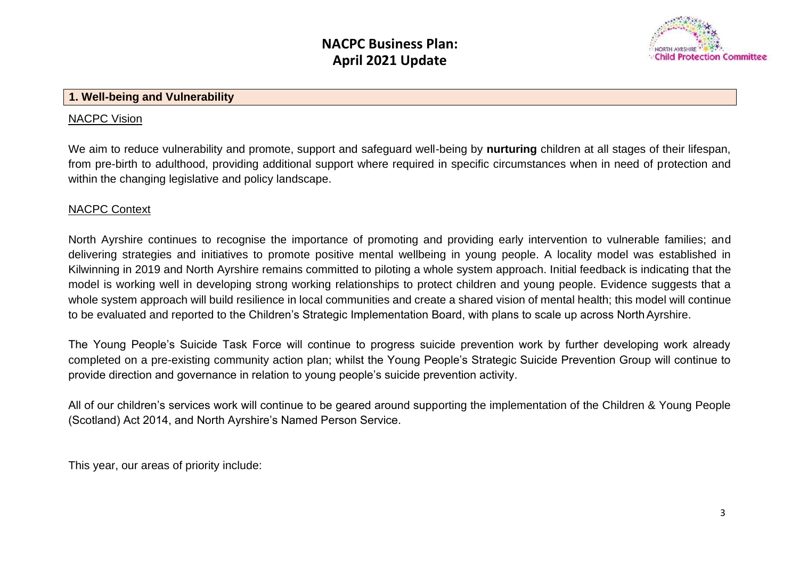**April 2020 - March 2023**



#### **1. Well-being and Vulnerability**

#### NACPC Vision

We aim to reduce vulnerability and promote, support and safeguard well-being by **nurturing** children at all stages of their lifespan, from pre-birth to adulthood, providing additional support where required in specific circumstances when in need of protection and within the changing legislative and policy landscape.

#### NACPC Context

North Ayrshire continues to recognise the importance of promoting and providing early intervention to vulnerable families; and delivering strategies and initiatives to promote positive mental wellbeing in young people. A locality model was established in Kilwinning in 2019 and North Ayrshire remains committed to piloting a whole system approach. Initial feedback is indicating that the model is working well in developing strong working relationships to protect children and young people. Evidence suggests that a whole system approach will build resilience in local communities and create a shared vision of mental health; this model will continue to be evaluated and reported to the Children's Strategic Implementation Board, with plans to scale up across NorthAyrshire.

The Young People's Suicide Task Force will continue to progress suicide prevention work by further developing work already completed on a pre-existing community action plan; whilst the Young People's Strategic Suicide Prevention Group will continue to provide direction and governance in relation to young people's suicide prevention activity.

All of our children's services work will continue to be geared around supporting the implementation of the Children & Young People (Scotland) Act 2014, and North Ayrshire's Named Person Service.

This year, our areas of priority include: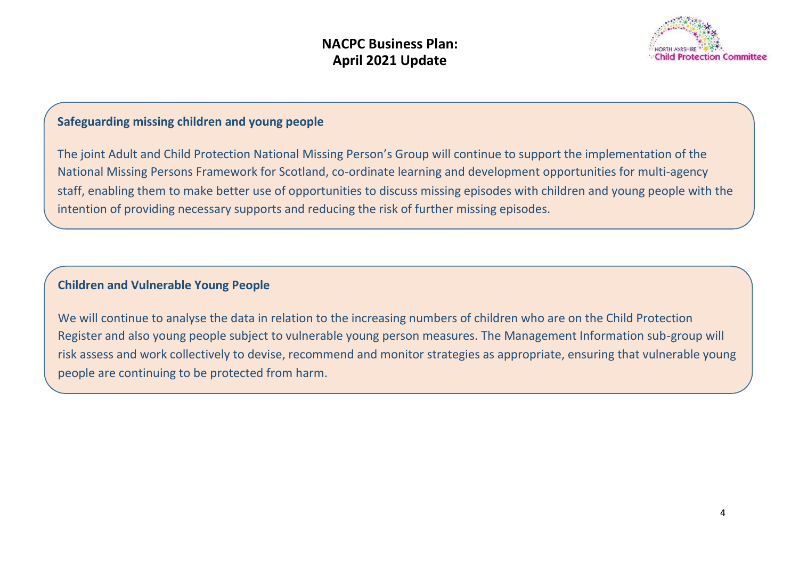

### **Safeguarding missing children and young people**

The joint Adult and Child Protection National Missing Person's Group will continue to support the implementation of the National Missing Persons Framework for Scotland, co-ordinate learning and development opportunities for multi-agency staff, enabling them to make better use of opportunities to discuss missing episodes with children and young people with the intention of providing necessary supports and reducing the risk of further missing episodes.

### **Children and Vulnerable Young People**

We will continue to analyse the data in relation to the increasing numbers of children who are on the Child Protection Register and also young people subject to vulnerable young person measures. The Management Information sub-group will risk assess and work collectively to devise, recommend and monitor strategies as appropriate, ensuring that vulnerable young people are continuing to be protected from harm.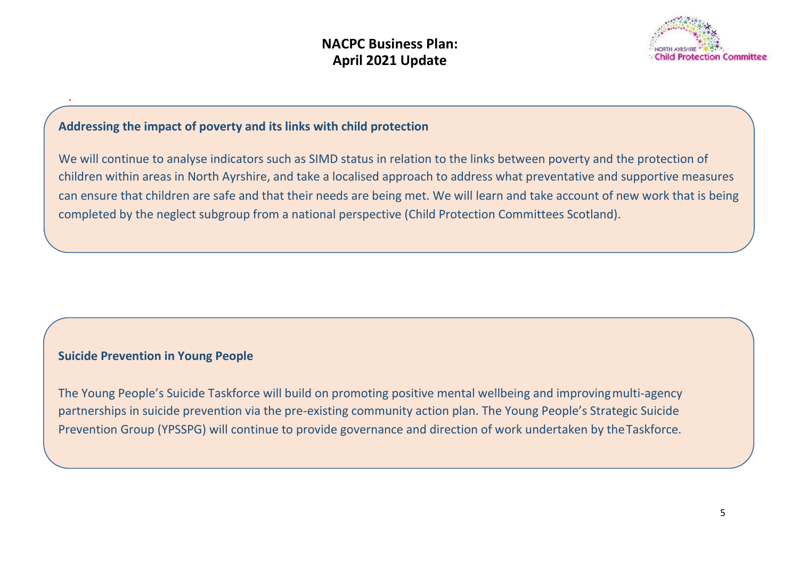

### **Addressing the impact of poverty and its links with child protection**

We will continue to analyse indicators such as SIMD status in relation to the links between poverty and the protection of children within areas in North Ayrshire, and take a localised approach to address what preventative and supportive measures can ensure that children are safe and that their needs are being met. We will learn and take account of new work that is being completed by the neglect subgroup from a national perspective (Child Protection Committees Scotland).

#### **Suicide Prevention in Young People**

.

The Young People's Suicide Taskforce will build on promoting positive mental wellbeing and improvingmulti-agency partnerships in suicide prevention via the pre-existing community action plan. The Young People's Strategic Suicide Prevention Group (YPSSPG) will continue to provide governance and direction of work undertaken by theTaskforce.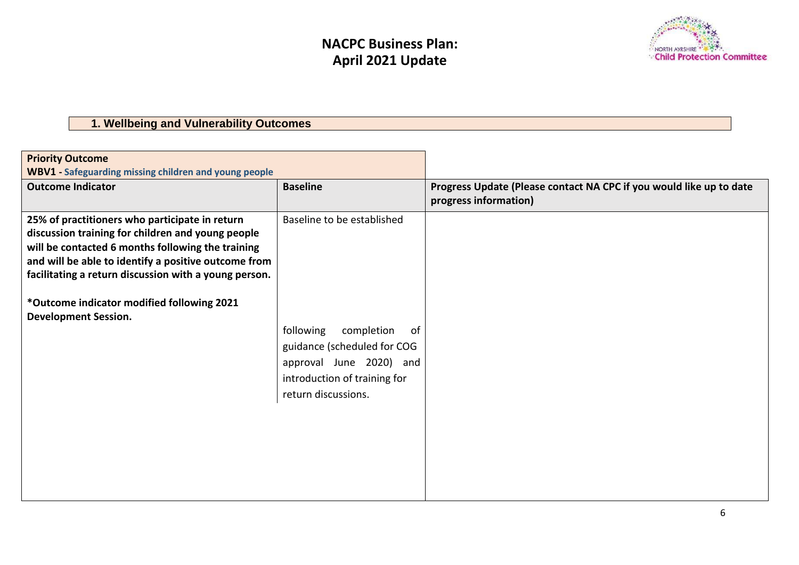

## **1. Wellbeing and Vulnerability Outcomes**

| <b>Priority Outcome</b>                                                                                                                                                                                                                                                                                                                                |                                                                                                                                                                               |                                                                                              |
|--------------------------------------------------------------------------------------------------------------------------------------------------------------------------------------------------------------------------------------------------------------------------------------------------------------------------------------------------------|-------------------------------------------------------------------------------------------------------------------------------------------------------------------------------|----------------------------------------------------------------------------------------------|
| <b>WBV1</b> - Safeguarding missing children and young people                                                                                                                                                                                                                                                                                           |                                                                                                                                                                               |                                                                                              |
| <b>Outcome Indicator</b>                                                                                                                                                                                                                                                                                                                               | <b>Baseline</b>                                                                                                                                                               | Progress Update (Please contact NA CPC if you would like up to date<br>progress information) |
| 25% of practitioners who participate in return<br>discussion training for children and young people<br>will be contacted 6 months following the training<br>and will be able to identify a positive outcome from<br>facilitating a return discussion with a young person.<br>*Outcome indicator modified following 2021<br><b>Development Session.</b> | Baseline to be established<br>following<br>completion<br>.of<br>guidance (scheduled for COG<br>approval June 2020) and<br>introduction of training for<br>return discussions. |                                                                                              |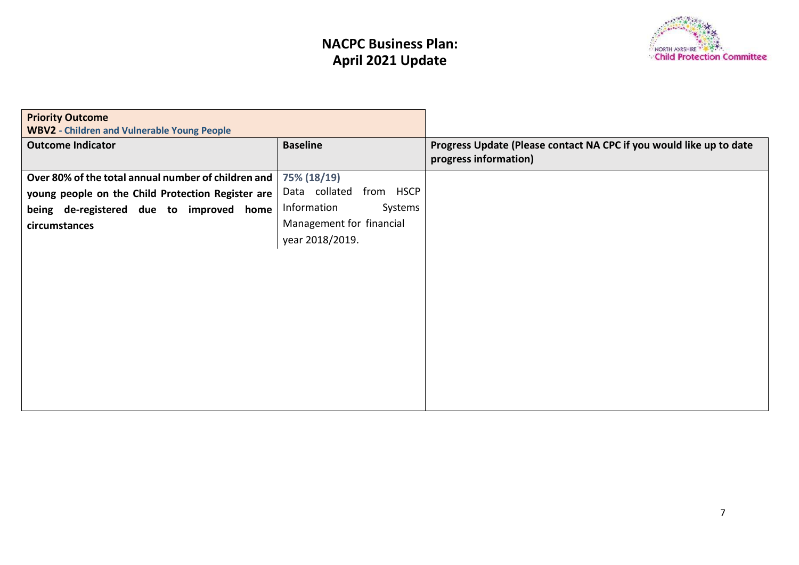

| <b>Priority Outcome</b>                             |                            |                                                                     |
|-----------------------------------------------------|----------------------------|---------------------------------------------------------------------|
| <b>WBV2 - Children and Vulnerable Young People</b>  |                            |                                                                     |
| <b>Outcome Indicator</b>                            | <b>Baseline</b>            | Progress Update (Please contact NA CPC if you would like up to date |
|                                                     |                            | progress information)                                               |
| Over 80% of the total annual number of children and | 75% (18/19)                |                                                                     |
| young people on the Child Protection Register are   | Data collated<br>from HSCP |                                                                     |
| being de-registered due to improved home            | Information<br>Systems     |                                                                     |
| circumstances                                       | Management for financial   |                                                                     |
|                                                     | year 2018/2019.            |                                                                     |
|                                                     |                            |                                                                     |
|                                                     |                            |                                                                     |
|                                                     |                            |                                                                     |
|                                                     |                            |                                                                     |
|                                                     |                            |                                                                     |
|                                                     |                            |                                                                     |
|                                                     |                            |                                                                     |
|                                                     |                            |                                                                     |
|                                                     |                            |                                                                     |
|                                                     |                            |                                                                     |
|                                                     |                            |                                                                     |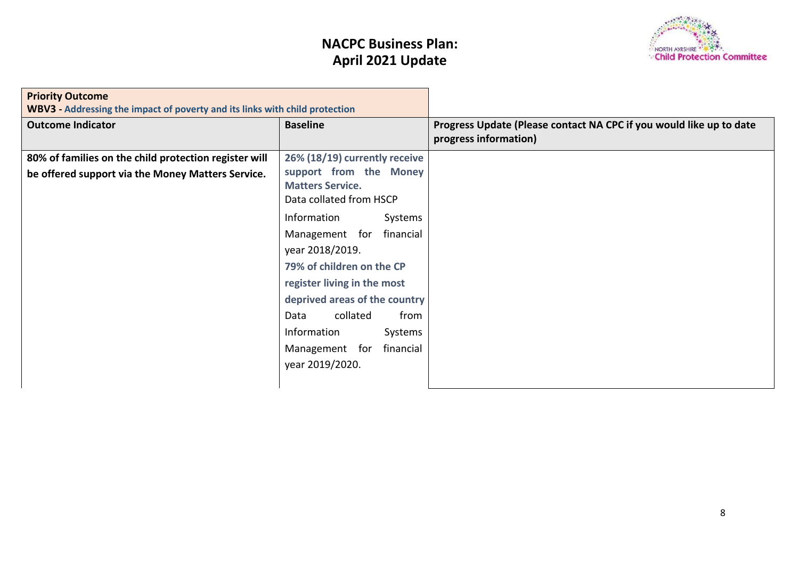

| <b>Priority Outcome</b><br>WBV3 - Addressing the impact of poverty and its links with child protection     |                                                                                                                                                                                                                                                                                                                    |                                                                                              |
|------------------------------------------------------------------------------------------------------------|--------------------------------------------------------------------------------------------------------------------------------------------------------------------------------------------------------------------------------------------------------------------------------------------------------------------|----------------------------------------------------------------------------------------------|
| <b>Outcome Indicator</b>                                                                                   | <b>Baseline</b>                                                                                                                                                                                                                                                                                                    | Progress Update (Please contact NA CPC if you would like up to date<br>progress information) |
| 80% of families on the child protection register will<br>be offered support via the Money Matters Service. | 26% (18/19) currently receive<br>support from the Money<br><b>Matters Service.</b><br>Data collated from HSCP<br>Information<br>Systems<br>financial<br>Management for<br>year 2018/2019.<br>79% of children on the CP<br>register living in the most<br>deprived areas of the country<br>collated<br>from<br>Data |                                                                                              |
|                                                                                                            | Information<br>Systems<br>financial<br>Management for<br>year 2019/2020.                                                                                                                                                                                                                                           |                                                                                              |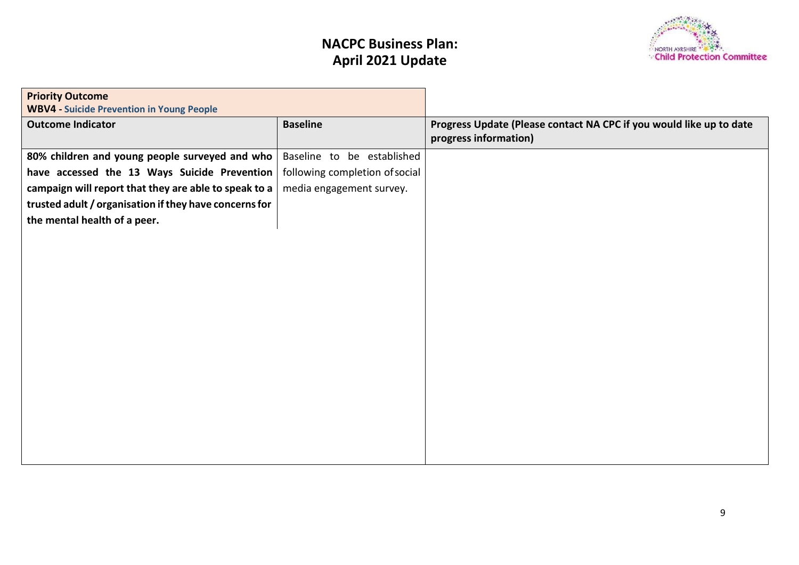

| <b>Priority Outcome</b>                                |                                |                                                                     |
|--------------------------------------------------------|--------------------------------|---------------------------------------------------------------------|
| <b>WBV4 - Suicide Prevention in Young People</b>       |                                |                                                                     |
| <b>Outcome Indicator</b>                               | <b>Baseline</b>                | Progress Update (Please contact NA CPC if you would like up to date |
|                                                        |                                | progress information)                                               |
| 80% children and young people surveyed and who         | Baseline to be established     |                                                                     |
| have accessed the 13 Ways Suicide Prevention           | following completion of social |                                                                     |
| campaign will report that they are able to speak to a  | media engagement survey.       |                                                                     |
| trusted adult / organisation if they have concerns for |                                |                                                                     |
| the mental health of a peer.                           |                                |                                                                     |
|                                                        |                                |                                                                     |
|                                                        |                                |                                                                     |
|                                                        |                                |                                                                     |
|                                                        |                                |                                                                     |
|                                                        |                                |                                                                     |
|                                                        |                                |                                                                     |
|                                                        |                                |                                                                     |
|                                                        |                                |                                                                     |
|                                                        |                                |                                                                     |
|                                                        |                                |                                                                     |
|                                                        |                                |                                                                     |
|                                                        |                                |                                                                     |
|                                                        |                                |                                                                     |
|                                                        |                                |                                                                     |
|                                                        |                                |                                                                     |
|                                                        |                                |                                                                     |
|                                                        |                                |                                                                     |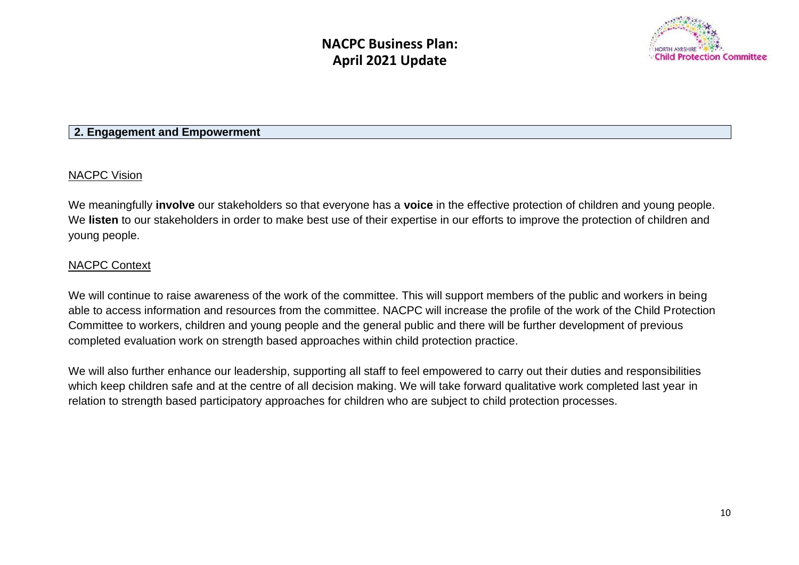

#### **2. Engagement and Empowerment**

#### NACPC Vision

We meaningfully **involve** our stakeholders so that everyone has a **voice** in the effective protection of children and young people. We **listen** to our stakeholders in order to make best use of their expertise in our efforts to improve the protection of children and young people.

#### NACPC Context

We will continue to raise awareness of the work of the committee. This will support members of the public and workers in being able to access information and resources from the committee. NACPC will increase the profile of the work of the Child Protection Committee to workers, children and young people and the general public and there will be further development of previous completed evaluation work on strength based approaches within child protection practice.

We will also further enhance our leadership, supporting all staff to feel empowered to carry out their duties and responsibilities which keep children safe and at the centre of all decision making. We will take forward qualitative work completed last year in relation to strength based participatory approaches for children who are subject to child protection processes.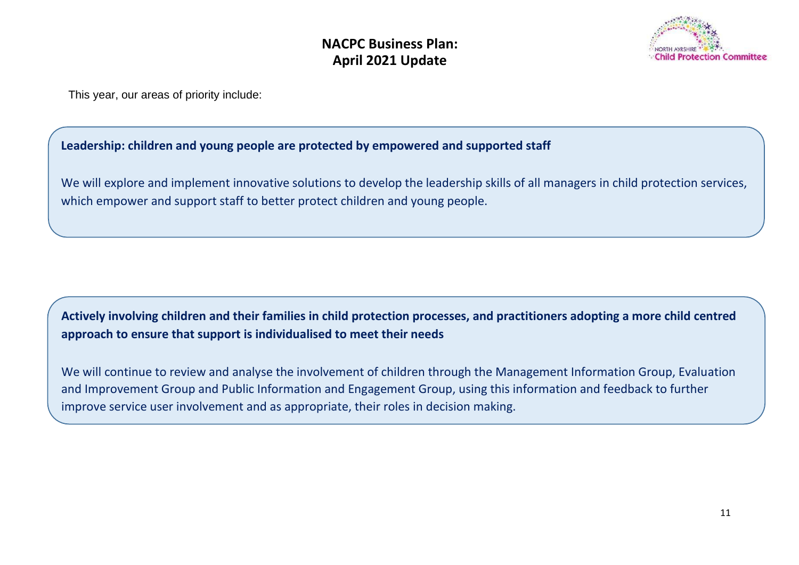

This year, our areas of priority include:

### **Leadership: children and young people are protected by empowered and supported staff**

We will explore and implement innovative solutions to develop the leadership skills of all managers in child protection services, which empower and support staff to better protect children and young people.

### **Actively involving children and their families in child protection processes, and practitioners adopting a more child centred approach to ensure that support is individualised to meet their needs**

We will continue to review and analyse the involvement of children through the Management Information Group, Evaluation and Improvement Group and Public Information and Engagement Group, using this information and feedback to further improve service user involvement and as appropriate, their roles in decision making.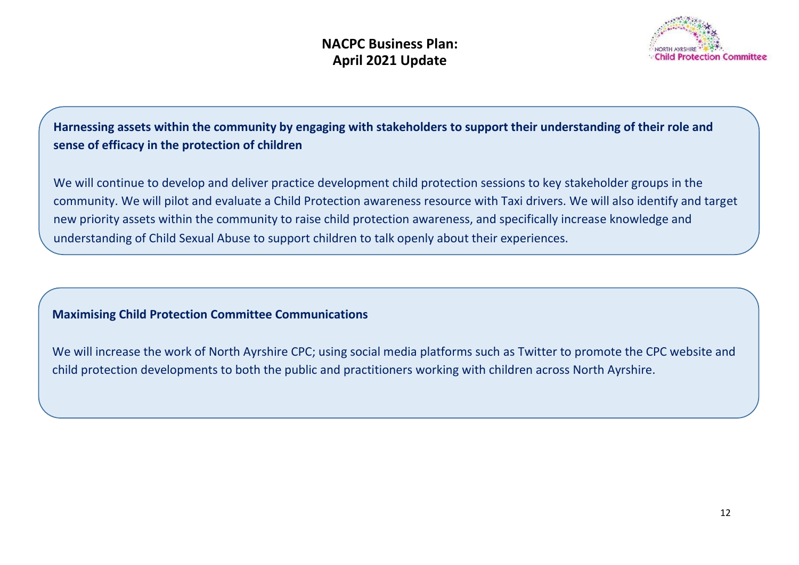

**Harnessing assets within the community by engaging with stakeholders to support their understanding of their role and sense of efficacy in the protection of children**

We will continue to develop and deliver practice development child protection sessions to key stakeholder groups in the community. We will pilot and evaluate a Child Protection awareness resource with Taxi drivers. We will also identify and target new priority assets within the community to raise child protection awareness, and specifically increase knowledge and understanding of Child Sexual Abuse to support children to talk openly about their experiences.

### **Maximising Child Protection Committee Communications**

We will increase the work of North Ayrshire CPC; using social media platforms such as Twitter to promote the CPC website and child protection developments to both the public and practitioners working with children across North Ayrshire.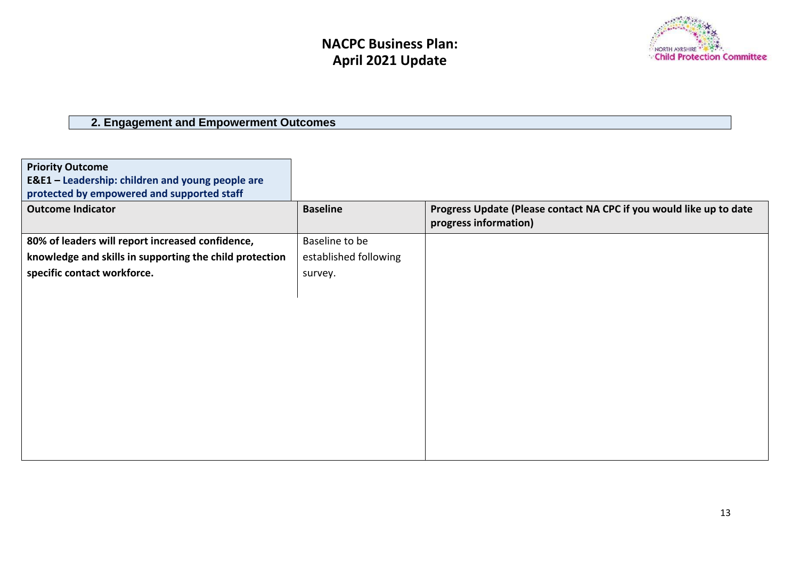

## **2. Engagement and Empowerment Outcomes**

| <b>Priority Outcome</b><br>E&E1 - Leadership: children and young people are<br>protected by empowered and supported staff |                       |                                                                                              |
|---------------------------------------------------------------------------------------------------------------------------|-----------------------|----------------------------------------------------------------------------------------------|
| <b>Outcome Indicator</b>                                                                                                  | <b>Baseline</b>       | Progress Update (Please contact NA CPC if you would like up to date<br>progress information) |
| 80% of leaders will report increased confidence,                                                                          | Baseline to be        |                                                                                              |
| knowledge and skills in supporting the child protection                                                                   | established following |                                                                                              |
| specific contact workforce.                                                                                               | survey.               |                                                                                              |
|                                                                                                                           |                       |                                                                                              |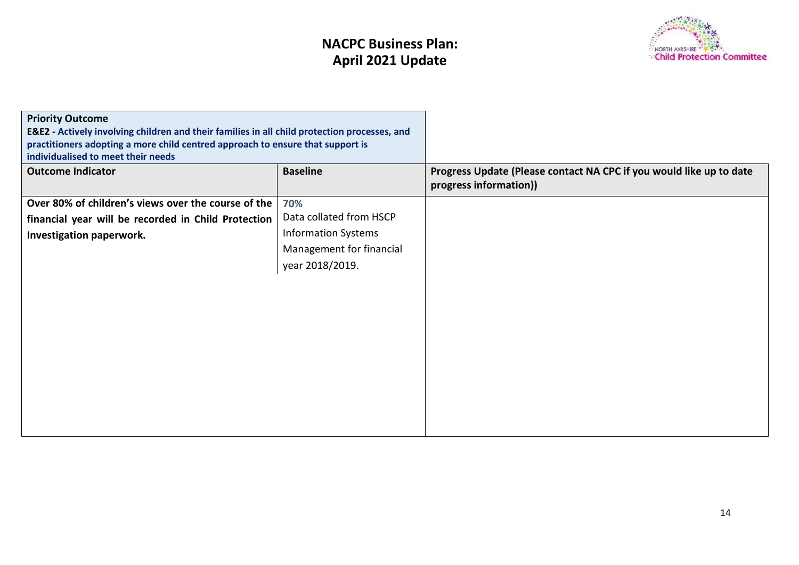

| <b>Priority Outcome</b><br>E&E2 - Actively involving children and their families in all child protection processes, and<br>practitioners adopting a more child centred approach to ensure that support is<br>individualised to meet their needs |                            |                                                                                               |
|-------------------------------------------------------------------------------------------------------------------------------------------------------------------------------------------------------------------------------------------------|----------------------------|-----------------------------------------------------------------------------------------------|
| <b>Outcome Indicator</b>                                                                                                                                                                                                                        | <b>Baseline</b>            | Progress Update (Please contact NA CPC if you would like up to date<br>progress information)) |
| Over 80% of children's views over the course of the                                                                                                                                                                                             | 70%                        |                                                                                               |
| financial year will be recorded in Child Protection                                                                                                                                                                                             | Data collated from HSCP    |                                                                                               |
| Investigation paperwork.                                                                                                                                                                                                                        | <b>Information Systems</b> |                                                                                               |
|                                                                                                                                                                                                                                                 | Management for financial   |                                                                                               |
|                                                                                                                                                                                                                                                 | year 2018/2019.            |                                                                                               |
|                                                                                                                                                                                                                                                 |                            |                                                                                               |
|                                                                                                                                                                                                                                                 |                            |                                                                                               |
|                                                                                                                                                                                                                                                 |                            |                                                                                               |
|                                                                                                                                                                                                                                                 |                            |                                                                                               |
|                                                                                                                                                                                                                                                 |                            |                                                                                               |
|                                                                                                                                                                                                                                                 |                            |                                                                                               |
|                                                                                                                                                                                                                                                 |                            |                                                                                               |
|                                                                                                                                                                                                                                                 |                            |                                                                                               |
|                                                                                                                                                                                                                                                 |                            |                                                                                               |
|                                                                                                                                                                                                                                                 |                            |                                                                                               |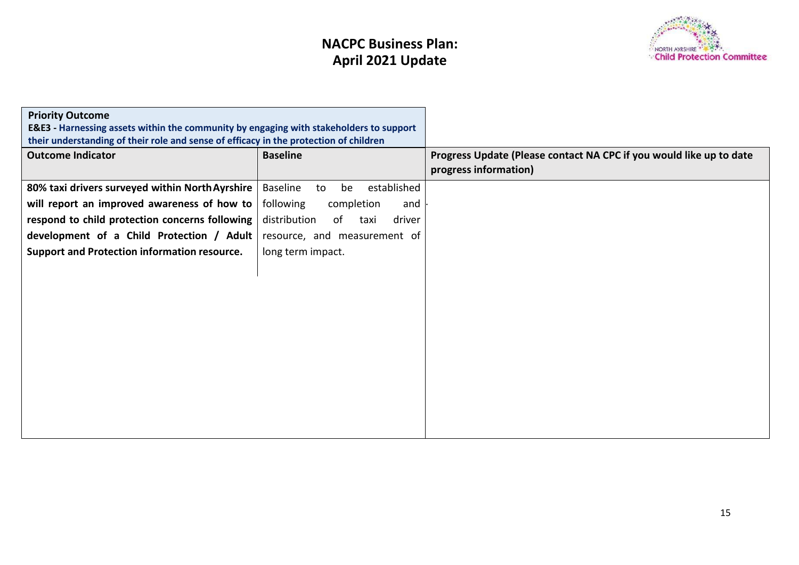

| <b>Priority Outcome</b><br>E&E3 - Harnessing assets within the community by engaging with stakeholders to support<br>their understanding of their role and sense of efficacy in the protection of children |                                      |                                                                                              |
|------------------------------------------------------------------------------------------------------------------------------------------------------------------------------------------------------------|--------------------------------------|----------------------------------------------------------------------------------------------|
| <b>Outcome Indicator</b>                                                                                                                                                                                   | <b>Baseline</b>                      | Progress Update (Please contact NA CPC if you would like up to date<br>progress information) |
| 80% taxi drivers surveyed within North Ayrshire                                                                                                                                                            | Baseline<br>established<br>be<br>to  |                                                                                              |
| will report an improved awareness of how to                                                                                                                                                                | following<br>completion<br>and       |                                                                                              |
| respond to child protection concerns following                                                                                                                                                             | distribution<br>driver<br>of<br>taxi |                                                                                              |
| development of a Child Protection / Adult                                                                                                                                                                  | resource, and measurement of         |                                                                                              |
| <b>Support and Protection information resource.</b>                                                                                                                                                        | long term impact.                    |                                                                                              |
|                                                                                                                                                                                                            |                                      |                                                                                              |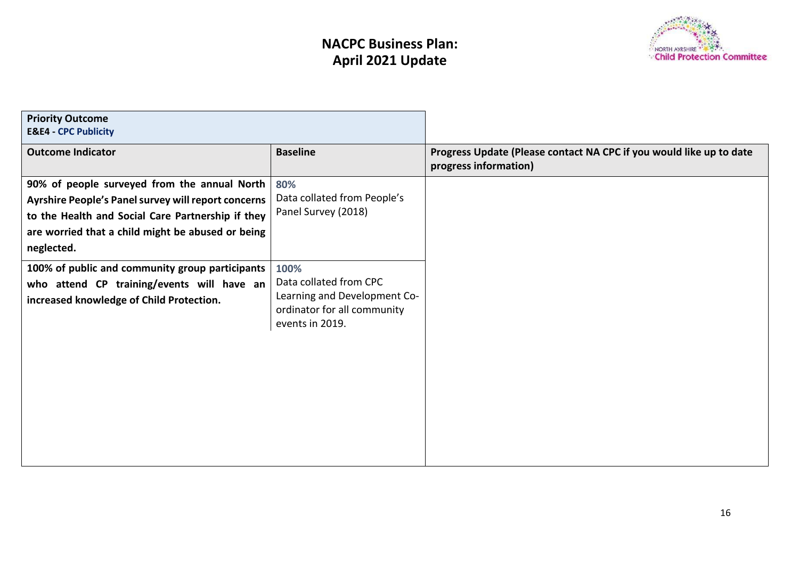

| <b>Priority Outcome</b><br><b>E&amp;E4 - CPC Publicity</b>                                                                                                                                                                  |                                                                                                                  |                                                                                              |
|-----------------------------------------------------------------------------------------------------------------------------------------------------------------------------------------------------------------------------|------------------------------------------------------------------------------------------------------------------|----------------------------------------------------------------------------------------------|
| <b>Outcome Indicator</b>                                                                                                                                                                                                    | <b>Baseline</b>                                                                                                  | Progress Update (Please contact NA CPC if you would like up to date<br>progress information) |
| 90% of people surveyed from the annual North<br>Ayrshire People's Panel survey will report concerns<br>to the Health and Social Care Partnership if they<br>are worried that a child might be abused or being<br>neglected. | 80%<br>Data collated from People's<br>Panel Survey (2018)                                                        |                                                                                              |
| 100% of public and community group participants<br>who attend CP training/events will have an<br>increased knowledge of Child Protection.                                                                                   | 100%<br>Data collated from CPC<br>Learning and Development Co-<br>ordinator for all community<br>events in 2019. |                                                                                              |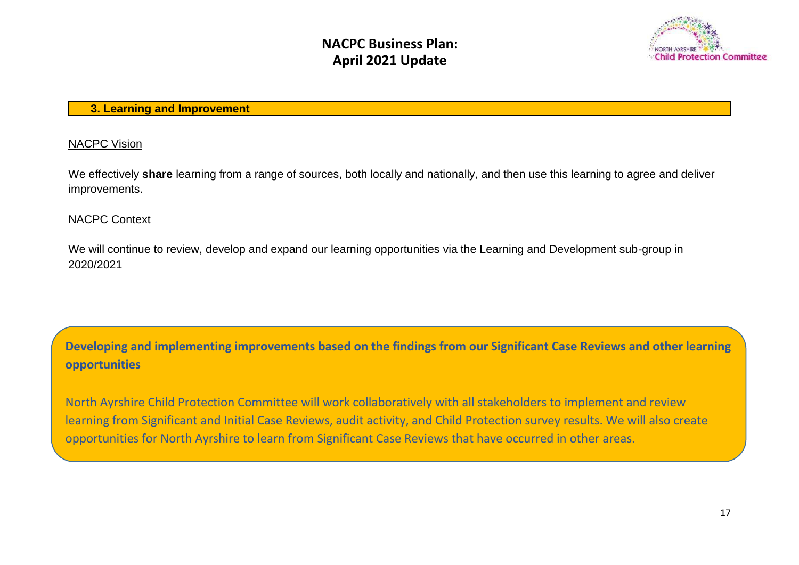

#### **3. Learning and Improvement**

#### NACPC Vision

We effectively **share** learning from a range of sources, both locally and nationally, and then use this learning to agree and deliver improvements.

### NACPC Context

We will continue to review, develop and expand our learning opportunities via the Learning and Development sub-group in 2020/2021

**Developing and implementing improvements based on the findings from our Significant Case Reviews and other learning opportunities**

North Ayrshire Child Protection Committee will work collaboratively with all stakeholders to implement and review learning from Significant and Initial Case Reviews, audit activity, and Child Protection survey results. We will also create opportunities for North Ayrshire to learn from Significant Case Reviews that have occurred in other areas.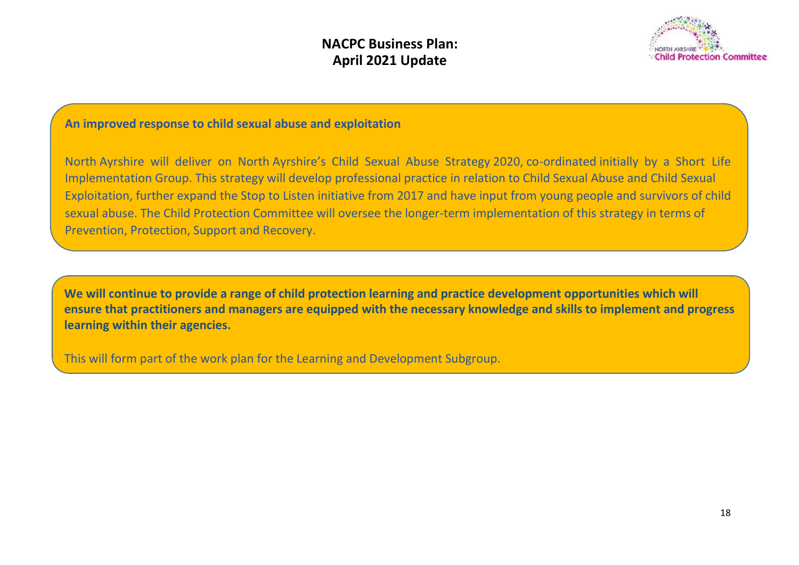

### **An improved response to child sexual abuse and exploitation**

North Ayrshire will deliver on North Ayrshire's Child Sexual Abuse Strategy 2020, co-ordinated initially by a Short Life Implementation Group. This strategy will develop professional practice in relation to Child Sexual Abuse and Child Sexual Exploitation, further expand the Stop to Listen initiative from 2017 and have input from young people and survivors of child sexual abuse. The Child Protection Committee will oversee the longer-term implementation of this strategy in terms of Prevention, Protection, Support and Recovery.

**We will continue to provide a range of child protection learning and practice development opportunities which will ensure that practitioners and managers are equipped with the necessary knowledge and skills to implement and progress learning within their agencies.**

This will form part of the work plan for the Learning and Development Subgroup.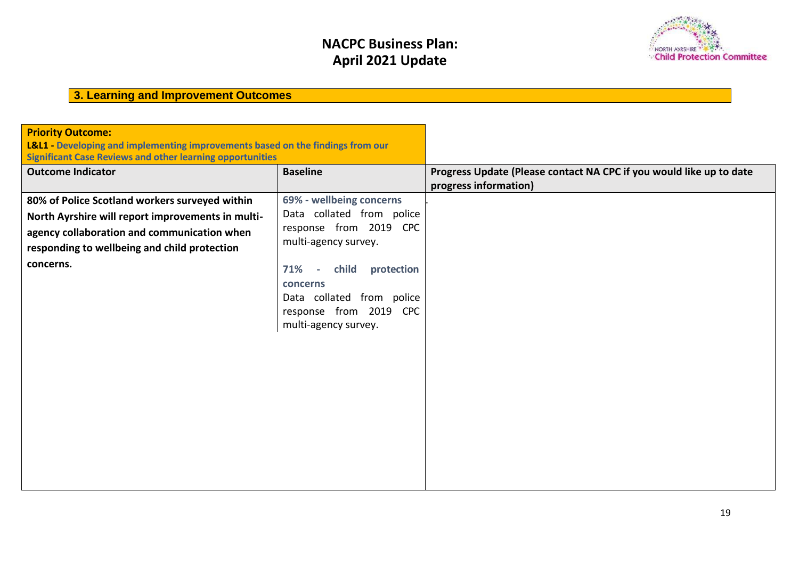**April 2020 - March 2023**



# **3. Learning and Improvement Outcomes**

| <b>Priority Outcome:</b>                                                       |                                                       |                                                                     |
|--------------------------------------------------------------------------------|-------------------------------------------------------|---------------------------------------------------------------------|
| L&L1 - Developing and implementing improvements based on the findings from our |                                                       |                                                                     |
| <b>Significant Case Reviews and other learning opportunities</b>               |                                                       |                                                                     |
| <b>Outcome Indicator</b>                                                       | <b>Baseline</b>                                       | Progress Update (Please contact NA CPC if you would like up to date |
|                                                                                |                                                       | progress information)                                               |
| 80% of Police Scotland workers surveyed within                                 | 69% - wellbeing concerns<br>Data collated from police |                                                                     |
| North Ayrshire will report improvements in multi-                              | response from 2019 CPC                                |                                                                     |
| agency collaboration and communication when                                    | multi-agency survey.                                  |                                                                     |
| responding to wellbeing and child protection                                   |                                                       |                                                                     |
| concerns.                                                                      | child protection<br>71%<br>$\sim$                     |                                                                     |
|                                                                                | concerns                                              |                                                                     |
|                                                                                | Data collated from police                             |                                                                     |
|                                                                                | response from 2019 CPC                                |                                                                     |
|                                                                                | multi-agency survey.                                  |                                                                     |
|                                                                                |                                                       |                                                                     |
|                                                                                |                                                       |                                                                     |
|                                                                                |                                                       |                                                                     |
|                                                                                |                                                       |                                                                     |
|                                                                                |                                                       |                                                                     |
|                                                                                |                                                       |                                                                     |
|                                                                                |                                                       |                                                                     |
|                                                                                |                                                       |                                                                     |
|                                                                                |                                                       |                                                                     |
|                                                                                |                                                       |                                                                     |
|                                                                                |                                                       |                                                                     |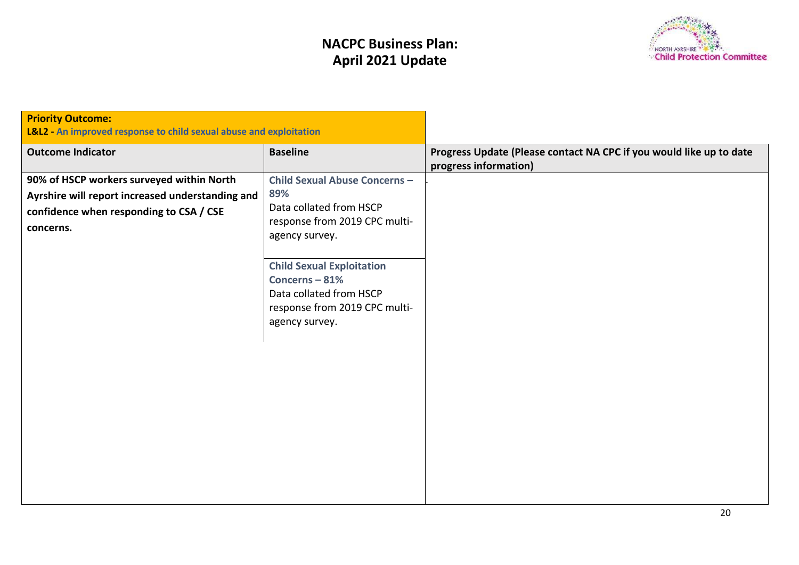

| <b>Priority Outcome:</b><br>L&L2 - An improved response to child sexual abuse and exploitation                                                        |                                                                                                                                                                                                                                                             |                                                                                              |
|-------------------------------------------------------------------------------------------------------------------------------------------------------|-------------------------------------------------------------------------------------------------------------------------------------------------------------------------------------------------------------------------------------------------------------|----------------------------------------------------------------------------------------------|
| <b>Outcome Indicator</b>                                                                                                                              | <b>Baseline</b>                                                                                                                                                                                                                                             | Progress Update (Please contact NA CPC if you would like up to date<br>progress information) |
| 90% of HSCP workers surveyed within North<br>Ayrshire will report increased understanding and<br>confidence when responding to CSA / CSE<br>concerns. | <b>Child Sexual Abuse Concerns -</b><br>89%<br>Data collated from HSCP<br>response from 2019 CPC multi-<br>agency survey.<br><b>Child Sexual Exploitation</b><br>Concerns-81%<br>Data collated from HSCP<br>response from 2019 CPC multi-<br>agency survey. |                                                                                              |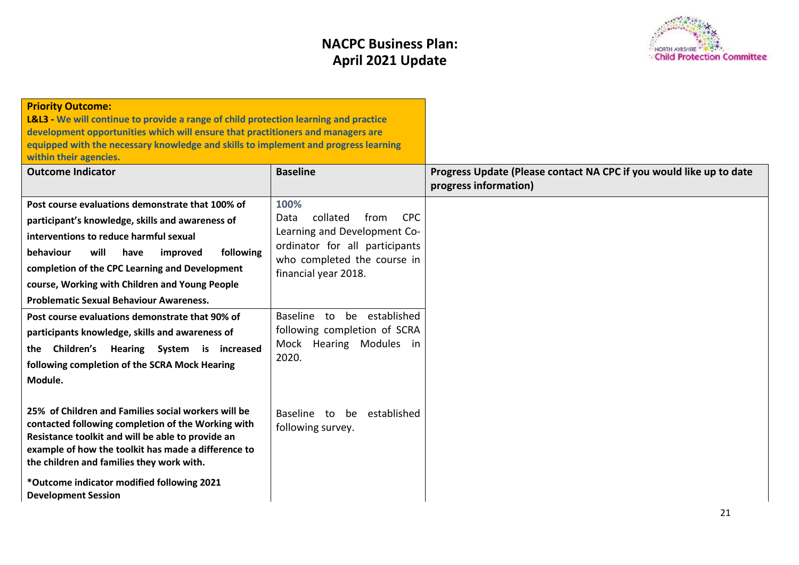

| <b>Priority Outcome:</b><br><b>L&amp;L3</b> - We will continue to provide a range of child protection learning and practice<br>development opportunities which will ensure that practitioners and managers are<br>equipped with the necessary knowledge and skills to implement and progress learning<br>within their agencies.                            |                                                                                                                                                                         |                                                                                              |
|------------------------------------------------------------------------------------------------------------------------------------------------------------------------------------------------------------------------------------------------------------------------------------------------------------------------------------------------------------|-------------------------------------------------------------------------------------------------------------------------------------------------------------------------|----------------------------------------------------------------------------------------------|
| <b>Outcome Indicator</b>                                                                                                                                                                                                                                                                                                                                   | <b>Baseline</b>                                                                                                                                                         | Progress Update (Please contact NA CPC if you would like up to date<br>progress information) |
| Post course evaluations demonstrate that 100% of<br>participant's knowledge, skills and awareness of<br>interventions to reduce harmful sexual<br>will<br>behaviour<br>following<br>have<br>improved<br>completion of the CPC Learning and Development<br>course, Working with Children and Young People<br><b>Problematic Sexual Behaviour Awareness.</b> | 100%<br><b>CPC</b><br>collated<br>from<br>Data<br>Learning and Development Co-<br>ordinator for all participants<br>who completed the course in<br>financial year 2018. |                                                                                              |
| Post course evaluations demonstrate that 90% of<br>participants knowledge, skills and awareness of<br>Children's Hearing System is increased<br>the<br>following completion of the SCRA Mock Hearing<br>Module.                                                                                                                                            | be established<br>Baseline to<br>following completion of SCRA<br>Mock Hearing Modules in<br>2020.                                                                       |                                                                                              |
| 25% of Children and Families social workers will be<br>contacted following completion of the Working with<br>Resistance toolkit and will be able to provide an<br>example of how the toolkit has made a difference to<br>the children and families they work with.                                                                                         | established<br>Baseline to<br>be<br>following survey.                                                                                                                   |                                                                                              |
| *Outcome indicator modified following 2021<br><b>Development Session</b>                                                                                                                                                                                                                                                                                   |                                                                                                                                                                         |                                                                                              |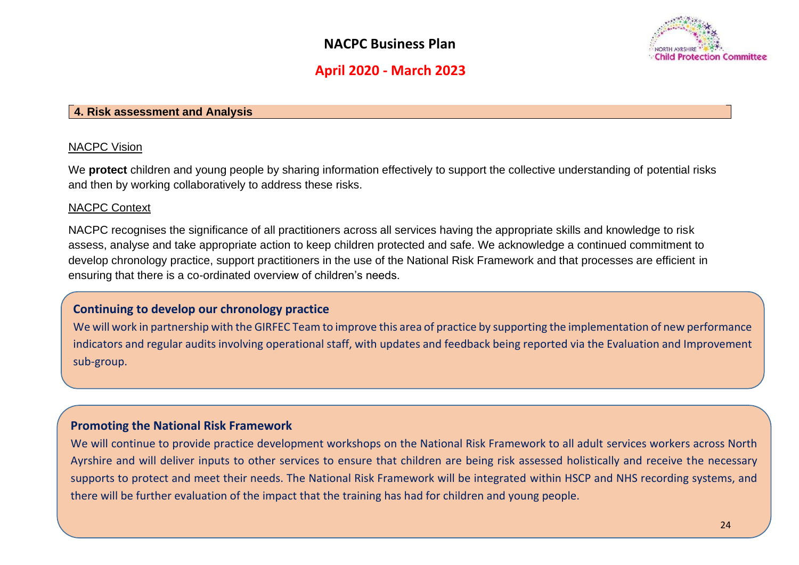

### **April 2020 - March 2023**

#### **4. Risk assessment and Analysis**

#### NACPC Vision

We **protect** children and young people by sharing information effectively to support the collective understanding of potential risks and then by working collaboratively to address these risks.

#### NACPC Context

NACPC recognises the significance of all practitioners across all services having the appropriate skills and knowledge to risk assess, analyse and take appropriate action to keep children protected and safe. We acknowledge a continued commitment to develop chronology practice, support practitioners in the use of the National Risk Framework and that processes are efficient in ensuring that there is a co-ordinated overview of children's needs.

### **Continuing to develop our chronology practice**

We will work in partnership with the GIRFEC Team to improve this area of practice by supporting the implementation of new performance indicators and regular audits involving operational staff, with updates and feedback being reported via the Evaluation and Improvement sub-group.

#### **Promoting the National Risk Framework**

We will continue to provide practice development workshops on the National Risk Framework to all adult services workers across North Ayrshire and will deliver inputs to other services to ensure that children are being risk assessed holistically and receive the necessary supports to protect and meet their needs. The National Risk Framework will be integrated within HSCP and NHS recording systems, and there will be further evaluation of the impact that the training has had for children and young people.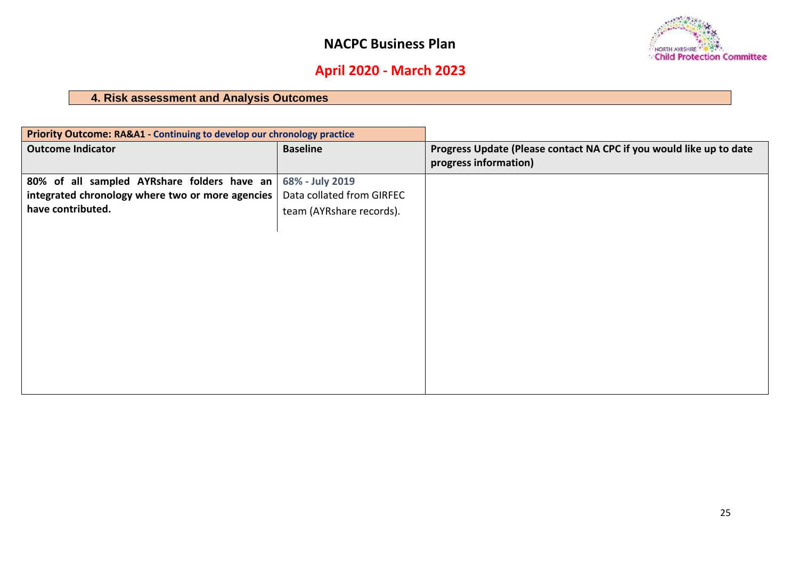

# **April 2020 - March 2023**

## **4. Risk assessment and Analysis Outcomes**

| Priority Outcome: RA&A1 - Continuing to develop our chronology practice |                           |                                                                                              |
|-------------------------------------------------------------------------|---------------------------|----------------------------------------------------------------------------------------------|
| <b>Outcome Indicator</b>                                                | <b>Baseline</b>           | Progress Update (Please contact NA CPC if you would like up to date<br>progress information) |
| 80% of all sampled AYRshare folders have an                             | 68% - July 2019           |                                                                                              |
| integrated chronology where two or more agencies                        | Data collated from GIRFEC |                                                                                              |
| have contributed.                                                       | team (AYRshare records).  |                                                                                              |
|                                                                         |                           |                                                                                              |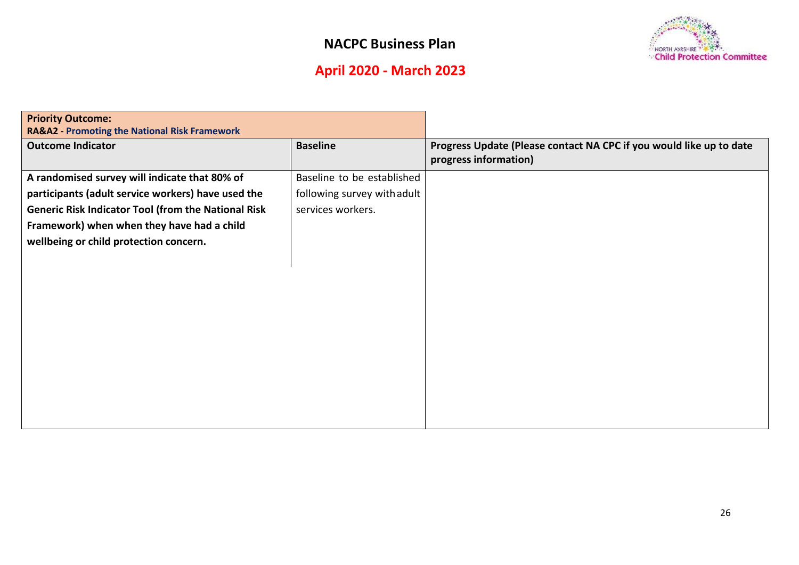# **April 2020 - March 2023**

| <b>NORTH AYRSHIRE</b>      |
|----------------------------|
| Child Protection Committee |

| <b>Priority Outcome:</b><br><b>RA&amp;A2 - Promoting the National Risk Framework</b> |                             |                                                                                              |
|--------------------------------------------------------------------------------------|-----------------------------|----------------------------------------------------------------------------------------------|
| <b>Outcome Indicator</b>                                                             | <b>Baseline</b>             | Progress Update (Please contact NA CPC if you would like up to date<br>progress information) |
| A randomised survey will indicate that 80% of                                        | Baseline to be established  |                                                                                              |
| participants (adult service workers) have used the                                   | following survey with adult |                                                                                              |
| <b>Generic Risk Indicator Tool (from the National Risk</b>                           | services workers.           |                                                                                              |
| Framework) when when they have had a child                                           |                             |                                                                                              |
| wellbeing or child protection concern.                                               |                             |                                                                                              |
|                                                                                      |                             |                                                                                              |
|                                                                                      |                             |                                                                                              |
|                                                                                      |                             |                                                                                              |
|                                                                                      |                             |                                                                                              |
|                                                                                      |                             |                                                                                              |
|                                                                                      |                             |                                                                                              |
|                                                                                      |                             |                                                                                              |
|                                                                                      |                             |                                                                                              |
|                                                                                      |                             |                                                                                              |
|                                                                                      |                             |                                                                                              |
|                                                                                      |                             |                                                                                              |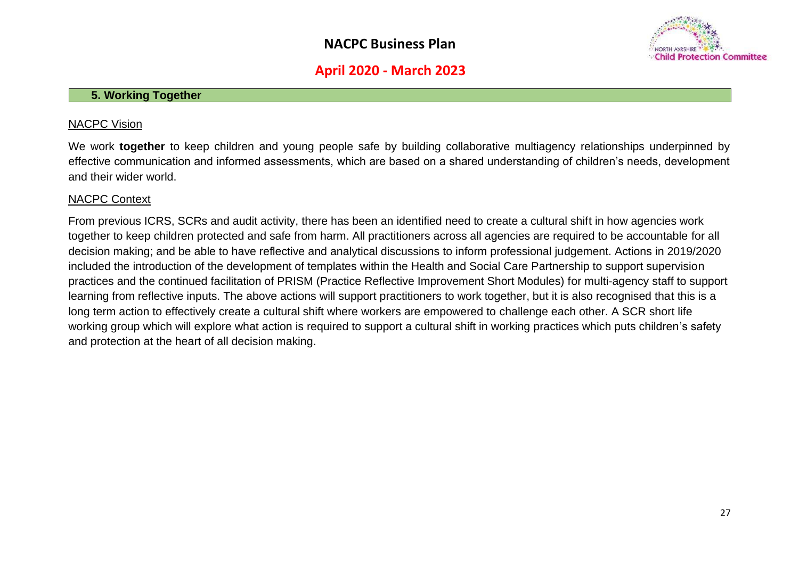

### **April 2020 - March 2023**

#### **5. Working Together**

#### NACPC Vision

We work **together** to keep children and young people safe by building collaborative multiagency relationships underpinned by effective communication and informed assessments, which are based on a shared understanding of children's needs, development and their wider world.

#### NACPC Context

From previous ICRS, SCRs and audit activity, there has been an identified need to create a cultural shift in how agencies work together to keep children protected and safe from harm. All practitioners across all agencies are required to be accountable for all decision making; and be able to have reflective and analytical discussions to inform professional judgement. Actions in 2019/2020 included the introduction of the development of templates within the Health and Social Care Partnership to support supervision practices and the continued facilitation of PRISM (Practice Reflective Improvement Short Modules) for multi-agency staff to support learning from reflective inputs. The above actions will support practitioners to work together, but it is also recognised that this is a long term action to effectively create a cultural shift where workers are empowered to challenge each other. A SCR short life working group which will explore what action is required to support a cultural shift in working practices which puts children's safety and protection at the heart of all decision making.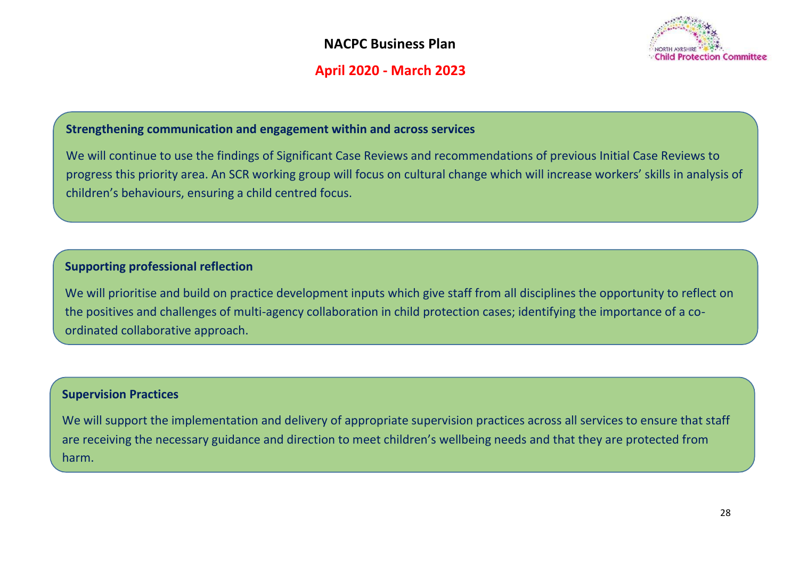

### **April 2020 - March 2023**

### **Strengthening communication and engagement within and across services**

We will continue to use the findings of Significant Case Reviews and recommendations of previous Initial Case Reviews to progress this priority area. An SCR working group will focus on cultural change which will increase workers' skills in analysis of children's behaviours, ensuring a child centred focus.

### **Supporting professional reflection**

We will prioritise and build on practice development inputs which give staff from all disciplines the opportunity to reflect on the positives and challenges of multi-agency collaboration in child protection cases; identifying the importance of a coordinated collaborative approach.

### **Supervision Practices**

We will support the implementation and delivery of appropriate supervision practices across all services to ensure that staff are receiving the necessary guidance and direction to meet children's wellbeing needs and that they are protected from harm.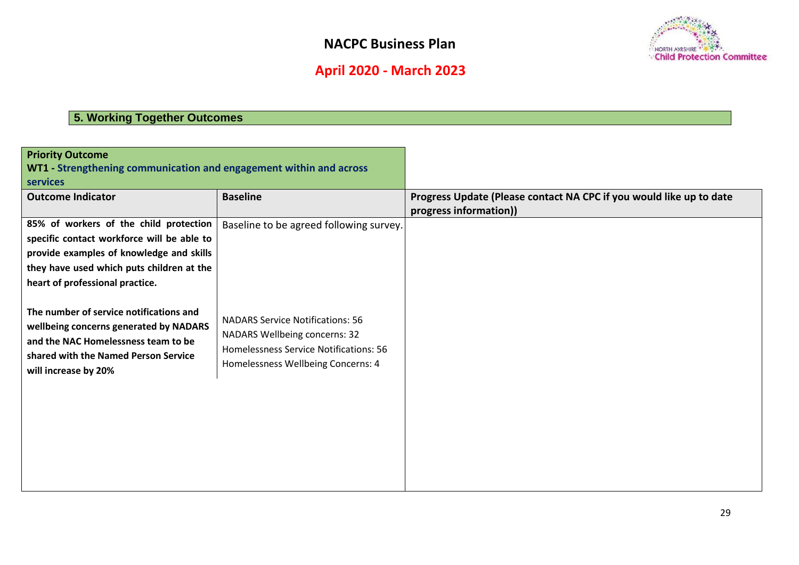

# **April 2020 - March 2023**

### **5. Working Together Outcomes**

| <b>Priority Outcome</b><br>WT1 - Strengthening communication and engagement within and across<br>services                                                                                                        |                                                                                                                                                                 |                                                                                               |
|------------------------------------------------------------------------------------------------------------------------------------------------------------------------------------------------------------------|-----------------------------------------------------------------------------------------------------------------------------------------------------------------|-----------------------------------------------------------------------------------------------|
| <b>Outcome Indicator</b>                                                                                                                                                                                         | <b>Baseline</b>                                                                                                                                                 | Progress Update (Please contact NA CPC if you would like up to date<br>progress information)) |
| 85% of workers of the child protection<br>specific contact workforce will be able to<br>provide examples of knowledge and skills<br>they have used which puts children at the<br>heart of professional practice. | Baseline to be agreed following survey.                                                                                                                         |                                                                                               |
| The number of service notifications and<br>wellbeing concerns generated by NADARS<br>and the NAC Homelessness team to be<br>shared with the Named Person Service<br>will increase by 20%                         | <b>NADARS Service Notifications: 56</b><br><b>NADARS Wellbeing concerns: 32</b><br>Homelessness Service Notifications: 56<br>Homelessness Wellbeing Concerns: 4 |                                                                                               |
|                                                                                                                                                                                                                  |                                                                                                                                                                 |                                                                                               |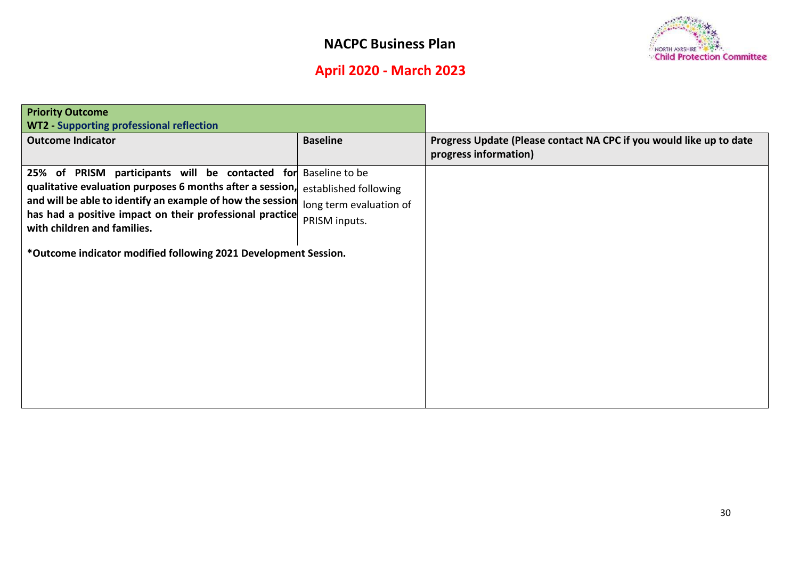

# **April 2020 - March 2023**

| <b>WT2 - Supporting professional reflection</b>                                                                    |  |
|--------------------------------------------------------------------------------------------------------------------|--|
|                                                                                                                    |  |
| <b>Baseline</b><br><b>Outcome Indicator</b><br>Progress Update (Please contact NA CPC if you would like up to date |  |
| progress information)                                                                                              |  |
| Baseline to be<br>25% of PRISM participants will be contacted for                                                  |  |
| qualitative evaluation purposes 6 months after a session,<br>established following                                 |  |
| and will be able to identify an example of how the session<br>long term evaluation of                              |  |
| has had a positive impact on their professional practice<br>PRISM inputs.<br>with children and families.           |  |
|                                                                                                                    |  |
| *Outcome indicator modified following 2021 Development Session.                                                    |  |
|                                                                                                                    |  |
|                                                                                                                    |  |
|                                                                                                                    |  |
|                                                                                                                    |  |
|                                                                                                                    |  |
|                                                                                                                    |  |
|                                                                                                                    |  |
|                                                                                                                    |  |
|                                                                                                                    |  |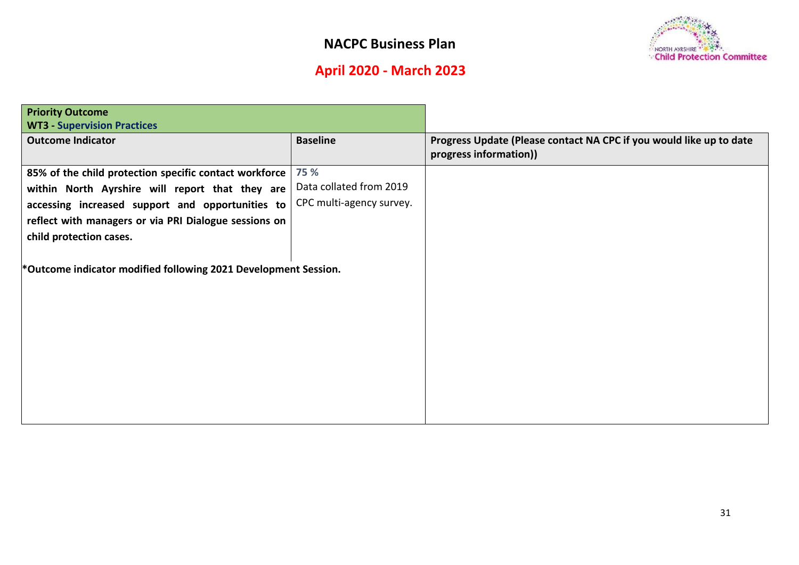

# **April 2020 - March 2023**

| <b>Priority Outcome</b>                                         |                          |                                                                     |
|-----------------------------------------------------------------|--------------------------|---------------------------------------------------------------------|
| <b>WT3 - Supervision Practices</b>                              |                          |                                                                     |
| <b>Outcome Indicator</b>                                        | <b>Baseline</b>          | Progress Update (Please contact NA CPC if you would like up to date |
|                                                                 |                          | progress information))                                              |
| 85% of the child protection specific contact workforce          | 75 %                     |                                                                     |
| within North Ayrshire will report that they are                 | Data collated from 2019  |                                                                     |
| accessing increased support and opportunities to                | CPC multi-agency survey. |                                                                     |
| reflect with managers or via PRI Dialogue sessions on           |                          |                                                                     |
| child protection cases.                                         |                          |                                                                     |
|                                                                 |                          |                                                                     |
| *Outcome indicator modified following 2021 Development Session. |                          |                                                                     |
|                                                                 |                          |                                                                     |
|                                                                 |                          |                                                                     |
|                                                                 |                          |                                                                     |
|                                                                 |                          |                                                                     |
|                                                                 |                          |                                                                     |
|                                                                 |                          |                                                                     |
|                                                                 |                          |                                                                     |
|                                                                 |                          |                                                                     |
|                                                                 |                          |                                                                     |